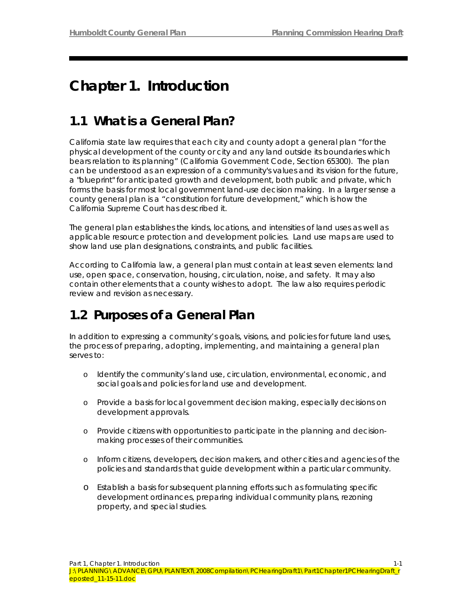# **Chapter 1. Introduction**

### **1.1 What is a General Plan?**

California state law requires that each city and county adopt a general plan "for the physical development of the county or city and any land outside its boundaries which bears relation to its planning" (California Government Code, Section 65300). The plan can be understood as an expression of a community's values and its vision for the future, a "blueprint" for anticipated growth and development, both public and private, which forms the basis for most local government land-use decision making. In a larger sense a county general plan is a "constitution for future development," which is how the California Supreme Court has described it.

The general plan establishes the kinds, locations, and intensities of land uses as well as applicable resource protection and development policies. Land use maps are used to show land use plan designations, constraints, and public facilities.

According to California law, a general plan must contain at least seven elements: land use, open space, conservation, housing, circulation, noise, and safety. It may also contain other elements that a county wishes to adopt. The law also requires periodic review and revision as necessary.

### **1.2 Purposes of a General Plan**

In addition to expressing a community's goals, visions, and policies for future land uses, the process of preparing, adopting, implementing, and maintaining a general plan serves to:

- o Identify the community's land use, circulation, environmental, economic, and social goals and policies for land use and development.
- o Provide a basis for local government decision making, especially decisions on development approvals.
- o Provide citizens with opportunities to participate in the planning and decisionmaking processes of their communities.
- o Inform citizens, developers, decision makers, and other cities and agencies of the policies and standards that guide development within a particular community.
- o Establish a basis for subsequent planning efforts such as formulating specific development ordinances, preparing individual community plans, rezoning property, and special studies.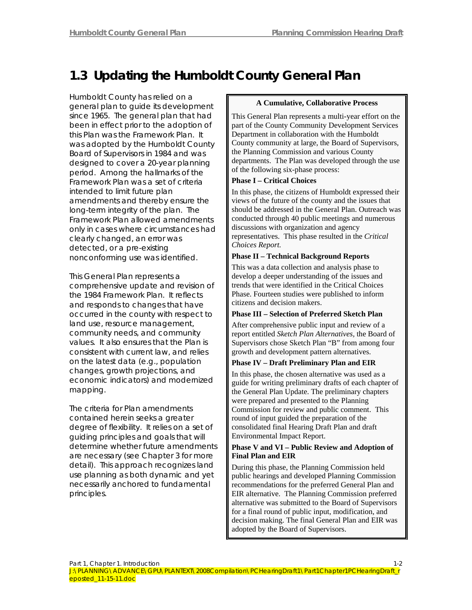# **1.3 Updating the Humboldt County General Plan**

Humboldt County has relied on a general plan to guide its development since 1965. The general plan that had been in effect prior to the adoption of this Plan was the Framework Plan. It was adopted by the Humboldt County Board of Supervisors in 1984 and was designed to cover a 20-year planning period. Among the hallmarks of the Framework Plan was a set of criteria intended to limit future plan amendments and thereby ensure the long-term integrity of the plan. The Framework Plan allowed amendments only in cases where circumstances had clearly changed, an error was detected, or a pre-existing nonconforming use was identified.

This General Plan represents a comprehensive update and revision of the 1984 Framework Plan. It reflects and responds to changes that have occurred in the county with respect to land use, resource management, community needs, and community values. It also ensures that the Plan is consistent with current law, and relies on the latest data (e.g., population changes, growth projections, and economic indicators) and modernized mapping.

The criteria for Plan amendments contained herein seeks a greater degree of flexibility. It relies on a set of guiding principles and goals that will determine whether future amendments are necessary (see Chapter 3 for more detail). This approach recognizes land use planning as both dynamic and yet necessarily anchored to fundamental principles.

#### **A Cumulative, Collaborative Process**

This General Plan represents a multi-year effort on the part of the County Community Development Services Department in collaboration with the Humboldt County community at large, the Board of Supervisors, the Planning Commission and various County departments. The Plan was developed through the use of the following six-phase process:

#### **Phase I – Critical Choices**

In this phase, the citizens of Humboldt expressed their views of the future of the county and the issues that should be addressed in the General Plan. Outreach was conducted through 40 public meetings and numerous discussions with organization and agency representatives. This phase resulted in the *Critical Choices Report.*

#### **Phase II – Technical Background Reports**

This was a data collection and analysis phase to develop a deeper understanding of the issues and trends that were identified in the Critical Choices Phase. Fourteen studies were published to inform citizens and decision makers.

### **Phase III – Selection of Preferred Sketch Plan**

After comprehensive public input and review of a report entitled *Sketch Plan Alternatives,* the Board of Supervisors chose Sketch Plan "B" from among four growth and development pattern alternatives.

### **Phase IV – Draft Preliminary Plan and EIR**

In this phase, the chosen alternative was used as a guide for writing preliminary drafts of each chapter of the General Plan Update. The preliminary chapters were prepared and presented to the Planning Commission for review and public comment. This round of input guided the preparation of the consolidated final Hearing Draft Plan and draft Environmental Impact Report.

#### **Phase V and VI – Public Review and Adoption of Final Plan and EIR**

During this phase, the Planning Commission held public hearings and developed Planning Commission recommendations for the preferred General Plan and EIR alternative. The Planning Commission preferred alternative was submitted to the Board of Supervisors for a final round of public input, modification, and decision making. The final General Plan and EIR was adopted by the Board of Supervisors.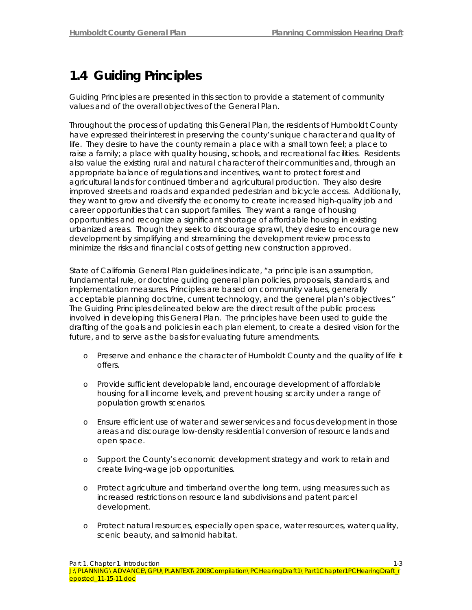### **1.4 Guiding Principles**

Guiding Principles are presented in this section to provide a statement of community values and of the overall objectives of the General Plan.

Throughout the process of updating this General Plan, the residents of Humboldt County have expressed their interest in preserving the county's unique character and quality of life. They desire to have the county remain a place with a small town feel; a place to raise a family; a place with quality housing, schools, and recreational facilities. Residents also value the existing rural and natural character of their communities and, through an appropriate balance of regulations and incentives, want to protect forest and agricultural lands for continued timber and agricultural production. They also desire improved streets and roads and expanded pedestrian and bicycle access. Additionally, they want to grow and diversify the economy to create increased high-quality job and career opportunities that can support families. They want a range of housing opportunities and recognize a significant shortage of affordable housing in existing urbanized areas. Though they seek to discourage sprawl, they desire to encourage new development by simplifying and streamlining the development review process to minimize the risks and financial costs of getting new construction approved.

State of California General Plan guidelines indicate, "a principle is an assumption, fundamental rule, or doctrine guiding general plan policies, proposals, standards, and implementation measures. Principles are based on community values, generally acceptable planning doctrine, current technology, and the general plan's objectives." The Guiding Principles delineated below are the direct result of the public process involved in developing this General Plan. The principles have been used to guide the drafting of the goals and policies in each plan element, to create a desired vision for the future, and to serve as the basis for evaluating future amendments.

- o Preserve and enhance the character of Humboldt County and the quality of life it offers.
- o Provide sufficient developable land, encourage development of affordable housing for all income levels, and prevent housing scarcity under a range of population growth scenarios.
- o Ensure efficient use of water and sewer services and focus development in those areas and discourage low-density residential conversion of resource lands and open space.
- o Support the County's economic development strategy and work to retain and create living-wage job opportunities.
- o Protect agriculture and timberland over the long term, using measures such as increased restrictions on resource land subdivisions and patent parcel development.
- o Protect natural resources, especially open space, water resources, water quality, scenic beauty, and salmonid habitat.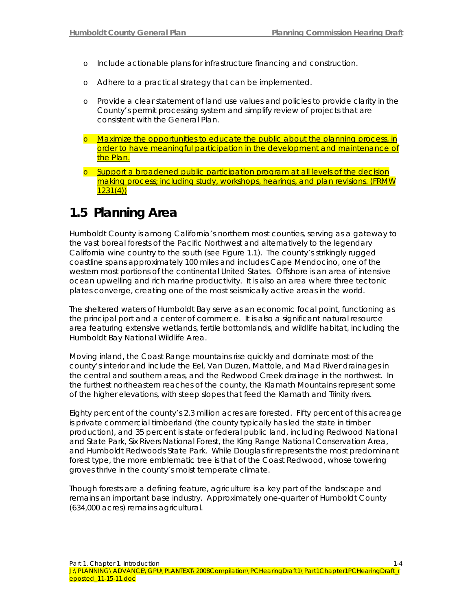- o Include actionable plans for infrastructure financing and construction.
- o Adhere to a practical strategy that can be implemented.
- o Provide a clear statement of land use values and policies to provide clarity in the County's permit processing system and simplify review of projects that are consistent with the General Plan.
- o Maximize the opportunities to educate the public about the planning process, in order to have meaningful participation in the development and maintenance of the Plan.
- o Support a broadened public participation program at all levels of the decision making process; including study, workshops, hearings, and plan revisions. (FRMW  $1231(4)$

### **1.5 Planning Area**

Humboldt County is among California's northern most counties, serving as a gateway to the vast boreal forests of the Pacific Northwest and alternatively to the legendary California wine country to the south (see Figure 1.1). The county's strikingly rugged coastline spans approximately 100 miles and includes Cape Mendocino, one of the western most portions of the continental United States. Offshore is an area of intensive ocean upwelling and rich marine productivity. It is also an area where three tectonic plates converge, creating one of the most seismically active areas in the world.

The sheltered waters of Humboldt Bay serve as an economic focal point, functioning as the principal port and a center of commerce. It is also a significant natural resource area featuring extensive wetlands, fertile bottomlands, and wildlife habitat, including the Humboldt Bay National Wildlife Area.

Moving inland, the Coast Range mountains rise quickly and dominate most of the county's interior and include the Eel, Van Duzen, Mattole, and Mad River drainages in the central and southern areas, and the Redwood Creek drainage in the northwest. In the furthest northeastern reaches of the county, the Klamath Mountains represent some of the higher elevations, with steep slopes that feed the Klamath and Trinity rivers.

Eighty percent of the county's 2.3 million acres are forested. Fifty percent of this acreage is private commercial timberland (the county typically has led the state in timber production), and 35 percent is state or federal public land, including Redwood National and State Park, Six Rivers National Forest, the King Range National Conservation Area, and Humboldt Redwoods State Park. While Douglas fir represents the most predominant forest type, the more emblematic tree is that of the Coast Redwood, whose towering groves thrive in the county's moist temperate climate.

Though forests are a defining feature, agriculture is a key part of the landscape and remains an important base industry. Approximately one-quarter of Humboldt County (634,000 acres) remains agricultural.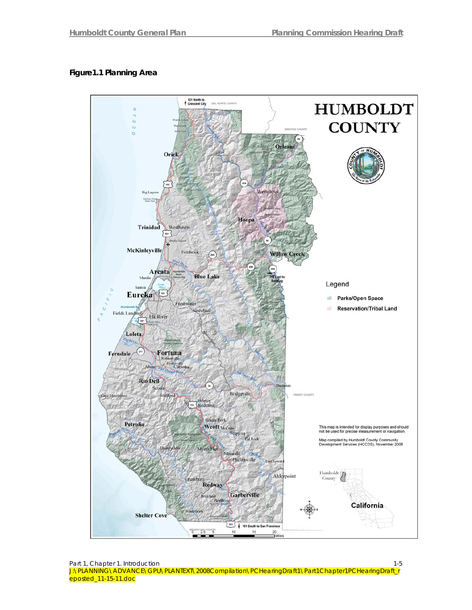### **Figure1.1 Planning Area**